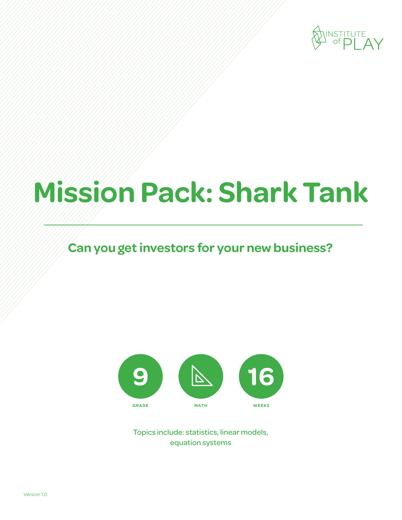

# **Mission Pack: Shark Tank**

### **Can you get investors for your new business?**



Topics include: statistics, linear models, equation systems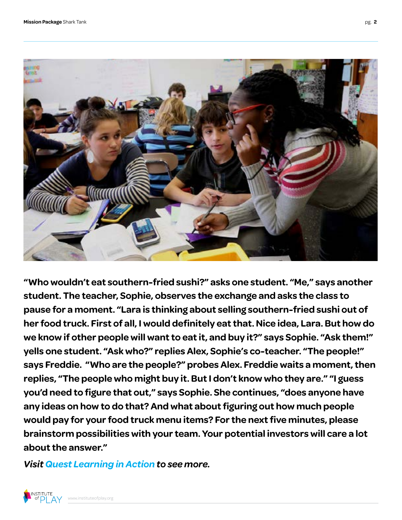

**"Who wouldn't eat southern-fried sushi?" asks one student. "Me," says another student. The teacher, Sophie, observes the exchange and asks the class to pause for a moment. "Lara is thinking about selling southern-fried sushi out of her food truck. First of all, I would definitely eat that. Nice idea, Lara. But how do we know if other people will want to eat it, and buy it?" says Sophie. "Ask them!" yells one student. "Ask who?" replies Alex, Sophie's co-teacher. "The people!" says Freddie. "Who are the people?" probes Alex. Freddie waits a moment, then replies, "The people who might buy it. But I don't know who they are." "I guess you'd need to figure that out," says Sophie. She continues, "does anyone have any ideas on how to do that? And what about figuring out how much people would pay for your food truck menu items? For the next five minutes, please brainstorm possibilities with your team. Your potential investors will care a lot about the answer."**

*[Visit Quest Learning in Action to see more.](http://vimeo.com/channels/qla/63336067)*

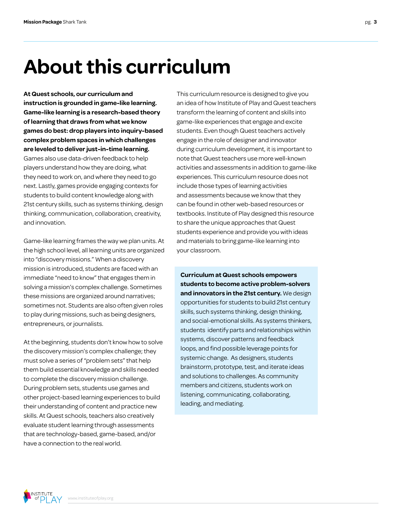## **About this curriculum**

**At Quest schools, our curriculum and instruction is grounded in game-like learning. Game-like learning is a research-based theory of learning that draws from what we know games do best: drop players into inquiry-based complex problem spaces in which challenges are leveled to deliver just-in-time learning.**  Games also use data-driven feedback to help players understand how they are doing, what they need to work on, and where they need to go next. Lastly, games provide engaging contexts for students to build content knowledge along with 21st century skills, such as systems thinking, design thinking, communication, collaboration, creativity, and innovation.

Game-like learning frames the way we plan units. At the high school level, all learning units are organized into "discovery missions." When a discovery mission is introduced, students are faced with an immediate "need to know" that engages them in solving a mission's complex challenge. Sometimes these missions are organized around narratives; sometimes not. Students are also often given roles to play during missions, such as being designers, entrepreneurs, or journalists.

At the beginning, students don't know how to solve the discovery mission's complex challenge; they must solve a series of "problem sets" that help them build essential knowledge and skills needed to complete the discovery mission challenge. During problem sets, students use games and other project-based learning experiences to build their understanding of content and practice new skills. At Quest schools, teachers also creatively evaluate student learning through assessments that are technology-based, game-based, and/or have a connection to the real world.

This curriculum resource is designed to give you an idea of how Institute of Play and Quest teachers transform the learning of content and skills into game-like experiences that engage and excite students. Even though Quest teachers actively engage in the role of designer and innovator during curriculum development, it is important to note that Quest teachers use more well-known activities and assessments in addition to game-like experiences. This curriculum resource does not include those types of learning activities and assessments because we know that they can be found in other web-based resources or textbooks. Institute of Play designed this resource to share the unique approaches that Quest students experience and provide you with ideas and materials to bring game-like learning into your classroom.

**Curriculum at Quest schools empowers students to become active problem-solvers and innovators in the 21st century.** We design opportunities for students to build 21st century skills, such systems thinking, design thinking, and social-emotional skills. As systems thinkers, students identify parts and relationships within systems, discover patterns and feedback loops, and find possible leverage points for systemic change. As designers, students brainstorm, prototype, test, and iterate ideas and solutions to challenges. As community members and citizens, students work on listening, communicating, collaborating, leading, and mediating.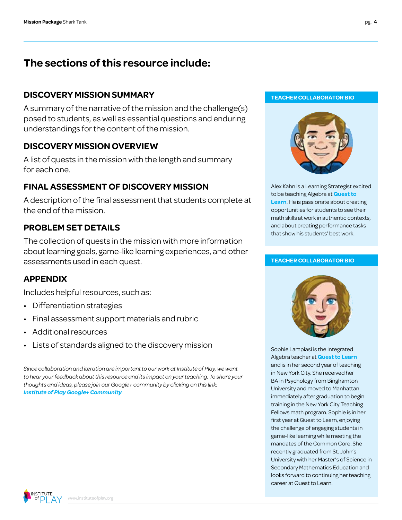### **The sections of this resource include:**

### **DISCOVERY MISSION SUMMARY TEACHER COLLABORATOR BIO**

A summary of the narrative of the mission and the challenge(s) posed to students, as well as essential questions and enduring understandings for the content of the mission.

### **DISCOVERY MISSION OVERVIEW**

A list of quests in the mission with the length and summary for each one.

### **FINAL ASSESSMENT OF DISCOVERY MISSION**

A description of the final assessment that students complete at the end of the mission.

### **PROBLEM SET DETAILS**

The collection of quests in the mission with more information about learning goals, game-like learning experiences, and other assessments used in each quest.

### **APPENDIX**

Includes helpful resources, such as:

- Differentiation strategies
- Final assessment support materials and rubric
- Additional resources
- Lists of standards aligned to the discovery mission

*Since collaboration and iteration are important to our work at Institute of Play, we want to hear your feedback about this resource and its impact on your teaching. To share your thoughts and ideas, please join our Google+ community by clicking on this link: [Institute of Play Google+ Community](https://plus.google.com/109931113406134913780).*



Alex Kahn is a Learning Strategist excited to be teaching Algebra at **[Quest to](http://www.q2l.org/)  [Learn](http://www.q2l.org/)**. He is passionate about creating opportunities for students to see their math skills at work in authentic contexts, and about creating performance tasks that show his students' best work.

#### **TEACHER COLLABORATOR BIO**



Sophie Lampiasi is the Integrated Algebra teacher at **[Quest to Learn](http://www.q2l.org/)** and is in her second year of teaching in New York City. She received her BA in Psychology from Binghamton University and moved to Manhattan immediately after graduation to begin training in the New York City Teaching Fellows math program. Sophie is in her first year at Quest to Learn, enjoying the challenge of engaging students in game-like learning while meeting the mandates of the Common Core. She recently graduated from St. John's University with her Master's of Science in Secondary Mathematics Education and looks forward to continuing her teaching career at Quest to Learn.

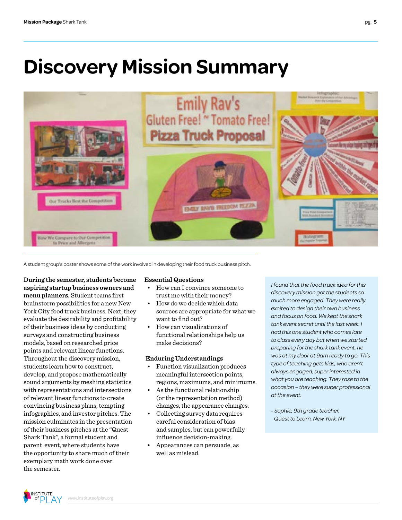### **Discovery Mission Summary**



A student group's poster shows some of the work involved in developing their food truck business pitch.

**During the semester, students become aspiring startup business owners and menu planners.** Student teams first brainstorm possibilities for a new New York City food truck business. Next, they evaluate the desirability and profitability of their business ideas by conducting surveys and constructing business models, based on researched price points and relevant linear functions. Throughout the discovery mission, students learn how to construct, develop, and propose mathematically sound arguments by meshing statistics with representations and intersections of relevant linear functions to create convincing business plans, tempting infographics, and investor pitches. The mission culminates in the presentation of their business pitches at the "Quest Shark Tank", a formal student and parent event, where students have the opportunity to share much of their exemplary math work done over the semester.

#### **Essential Questions**

- How can I convince someone to trust me with their money?
- How do we decide which data sources are appropriate for what we want to find out?
- How can visualizations of functional relationships help us make decisions?

#### **Enduring Understandings**

- Function visualization produces meaningful intersection points, regions, maximums, and minimums.
- As the functional relationship (or the representation method) changes, the appearance changes.
- Collecting survey data requires careful consideration of bias and samples, but can powerfully influence decision-making.
- Appearances can persuade, as well as mislead.

*I found that the food truck idea for this discovery mission got the students so much more engaged. They were really excited to design their own business and focus on food. We kept the shark tank event secret until the last week. I had this one student who comes late to class every day but when we started preparing for the shark tank event, he was at my door at 9am ready to go. This type of teaching gets kids, who aren't always engaged, super interested in what you are teaching. They rose to the occasion – they were super professional at the event.*

*- Sophie, 9th grade teacher, Quest to Learn, New York, NY*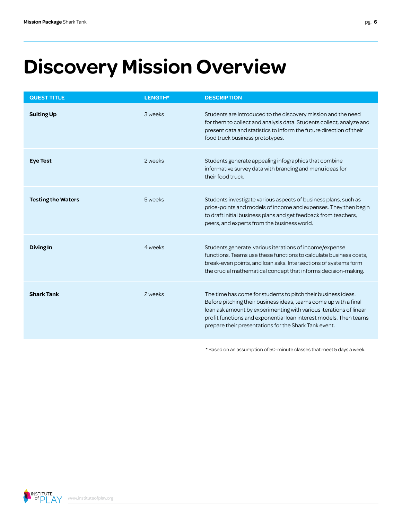# **Discovery Mission Overview**

| <b>QUEST TITLE</b>        | LENGTH* | <b>DESCRIPTION</b>                                                                                                                                                                                                                                                                                                                    |
|---------------------------|---------|---------------------------------------------------------------------------------------------------------------------------------------------------------------------------------------------------------------------------------------------------------------------------------------------------------------------------------------|
| <b>Suiting Up</b>         | 3 weeks | Students are introduced to the discovery mission and the need<br>for them to collect and analysis data. Students collect, analyze and<br>present data and statistics to inform the future direction of their<br>food truck business prototypes.                                                                                       |
| <b>Eye Test</b>           | 2 weeks | Students generate appealing infographics that combine<br>informative survey data with branding and menu ideas for<br>their food truck.                                                                                                                                                                                                |
| <b>Testing the Waters</b> | 5 weeks | Students investigate various aspects of business plans, such as<br>price-points and models of income and expenses. They then begin<br>to draft initial business plans and get feedback from teachers,<br>peers, and experts from the business world.                                                                                  |
| <b>Diving In</b>          | 4 weeks | Students generate various iterations of income/expense<br>functions. Teams use these functions to calculate business costs,<br>break-even points, and loan asks. Intersections of systems form<br>the crucial mathematical concept that informs decision-making.                                                                      |
| <b>Shark Tank</b>         | 2 weeks | The time has come for students to pitch their business ideas.<br>Before pitching their business ideas, teams come up with a final<br>loan ask amount by experimenting with various iterations of linear<br>profit functions and exponential loan interest models. Then teams<br>prepare their presentations for the Shark Tank event. |

\* Based on an assumption of 50-minute classes that meet 5 days a week.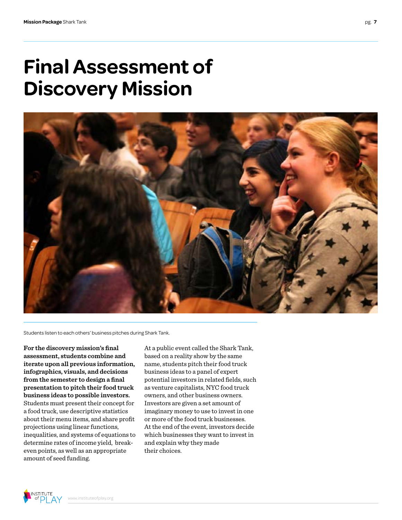### **Final Assessment of Discovery Mission**



Students listen to each others' business pitches during Shark Tank.

**For the discovery mission's final assessment, students combine and iterate upon all previous information, infographics, visuals, and decisions from the semester to design a final presentation to pitch their food truck business ideas to possible investors.**  Students must present their concept for a food truck, use descriptive statistics about their menu items, and share profit projections using linear functions, inequalities, and systems of equations to determine rates of income yield, breakeven points, as well as an appropriate amount of seed funding.

At a public event called the Shark Tank, based on a reality show by the same name, students pitch their food truck business ideas to a panel of expert potential investors in related fields, such as venture capitalists, NYC food truck owners, and other business owners. Investors are given a set amount of imaginary money to use to invest in one or more of the food truck businesses. At the end of the event, investors decide which businesses they want to invest in and explain why they made their choices.

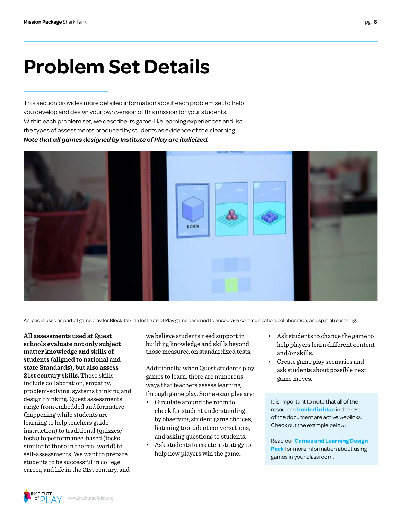### **Problem Set Details**

This section provides more detailed information about each problem set to help you develop and design your own version of this mission for your students. Within each problem set, we describe its game-like learning experiences and list the types of assessments produced by students as evidence of their learning. *Note that all games designed by Institute of Play are italicized.*



An ipad is used as part of game play for Block Talk, an Institute of Play game designed to encourage communication, collaboration, and spatial reasoning.

**All assessments used at Quest schools evaluate not only subject matter knowledge and skills of students (aligned to national and state Standards), but also assess 21st century skills.** These skills include collaboration, empathy, problem-solving, systems thinking and design thinking. Quest assessments range from embedded and formative (happening while students are learning to help teachers guide instruction) to traditional (quizzes/ tests) to performance-based (tasks similar to those in the real world) to self-assessments. We want to prepare students to be successful in college, career, and life in the 21st century, and

we believe students need support in building knowledge and skills beyond those measured on standardized tests.

Additionally, when Quest students play games to learn, there are numerous ways that teachers assess learning through game play. Some examples are:

- Circulate around the room to check for student understanding by observing student game choices, listening to student conversations, and asking questions to students.
- Ask students to create a strategy to help new players win the game.
- Ask students to change the game to help players learn different content and/or skills.
- Create game play scenarios and ask students about possible next game moves.

It is important to note that all of the resources **bolded in blue** in the rest of the document are active weblinks. Check out the example below:

Read our **[Games and Learning Design](http://www.instituteofplay.org/work/projects/q-design-packs/q-games-and-learning-design-pack/)  Pack** [for more information about using](http://www.instituteofplay.org/work/projects/q-design-packs/q-games-and-learning-design-pack/)  [games in your classroom.](http://www.instituteofplay.org/work/projects/q-design-packs/q-games-and-learning-design-pack/)

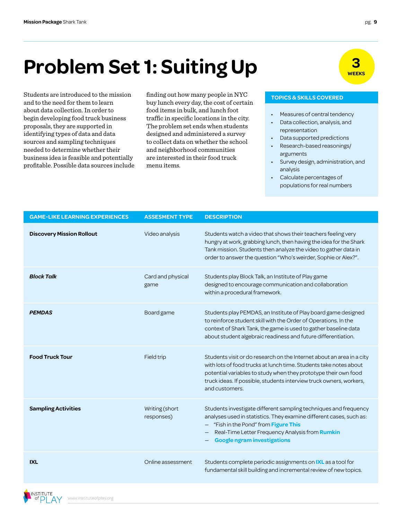# **Problem Set 1: Suiting Up**  $\frac{3}{\sqrt{\text{max}}}}$

Students are introduced to the mission finding out how many people in NYC **TOPICS & SKILLS COVERED** and to the need for them to learn about data collection. In order to begin developing food truck business proposals, they are supported in identifying types of data and data sources and sampling techniques needed to determine whether their business idea is feasible and potentially profitable. Possible data sources include

finding out how many people in NYC buy lunch every day, the cost of certain food items in bulk, and lunch foot traffic in specific locations in the city. The problem set ends when students designed and administered a survey to collect data on whether the school and neighborhood communities are interested in their food truck menu items.

- Measures of central tendency
- Data collection, analysis, and representation
- Data supported predictions
- Research-based reasonings/ arguments
- Survey design, administration, and analysis
- Calculate percentages of populations for real numbers

| <b>GAME-LIKE LEARNING EXPERIENCES</b> | <b>ASSESMENT TYPE</b>        | <b>DESCRIPTION</b>                                                                                                                                                                                                                                                                                     |
|---------------------------------------|------------------------------|--------------------------------------------------------------------------------------------------------------------------------------------------------------------------------------------------------------------------------------------------------------------------------------------------------|
| <b>Discovery Mission Rollout</b>      | Video analysis               | Students watch a video that shows their teachers feeling very<br>hungry at work, grabbing lunch, then having the idea for the Shark<br>Tank mission. Students then analyze the video to gather data in<br>order to answer the question "Who's weirder, Sophie or Alex?".                               |
| <b>Block Talk</b>                     | Card and physical<br>game    | Students play Block Talk, an Institute of Play game<br>designed to encourage communication and collaboration<br>within a procedural framework.                                                                                                                                                         |
| <b>PEMDAS</b>                         | Board game                   | Students play PEMDAS, an Institute of Play board game designed<br>to reinforce student skill with the Order of Operations. In the<br>context of Shark Tank, the game is used to gather baseline data<br>about student algebraic readiness and future differentiation.                                  |
| <b>Food Truck Tour</b>                | Field trip                   | Students visit or do research on the Internet about an area in a city<br>with lots of food trucks at lunch time. Students take notes about<br>potential variables to study when they prototype their own food<br>truck ideas. If possible, students interview truck owners, workers,<br>and customers. |
| <b>Sampling Activities</b>            | Writing (short<br>responses) | Students investigate different sampling techniques and frequency<br>analyses used in statistics. They examine different cases, such as:<br>"Fish in the Pond" from Figure This<br>Real-Time Letter Frequency Analysis from Rumkin<br><b>Google ngram investigations</b>                                |
| <b>IXL</b>                            | Online assessment            | Students complete periodic assignments on IXL as a tool for<br>fundamental skill building and incremental review of new topics.                                                                                                                                                                        |

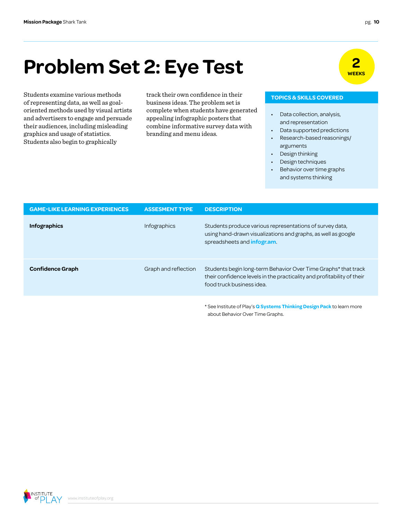### **2 Problem Set 2: Eye Test Problem Set 2: Eye Test**

of representing data, as well as goaloriented methods used by visual artists and advertisers to engage and persuade their audiences, including misleading graphics and usage of statistics. Students also begin to graphically

Students examine various methods track their own confidence in their **TOPICS & SKILLS COVERED** track their own confidence in their business ideas. The problem set is complete when students have generated appealing infographic posters that combine informative survey data with branding and menu ideas.

- Data collection, analysis, and representation
- Data supported predictions
- Research-based reasonings/ arguments
- Design thinking
- Design techniques
- Behavior over time graphs and systems thinking

| <b>GAME-LIKE LEARNING EXPERIENCES</b> | <b>ASSESMENT TYPE</b> | <b>DESCRIPTION</b>                                                                                                                                                    |
|---------------------------------------|-----------------------|-----------------------------------------------------------------------------------------------------------------------------------------------------------------------|
| <b>Infographics</b>                   | <b>Infographics</b>   | Students produce various representations of survey data,<br>using hand-drawn visualizations and graphs, as well as google<br>spreadsheets and <b>infogram</b> .       |
| <b>Confidence Graph</b>               | Graph and reflection  | Students begin long-term Behavior Over Time Graphs* that track<br>their confidence levels in the practicality and profitability of their<br>food truck business idea. |
|                                       |                       | * See Institute of Play's Q Systems Thinking Design Pack to learn more<br>about Behavior Over Time Graphs.                                                            |

INSTITUTE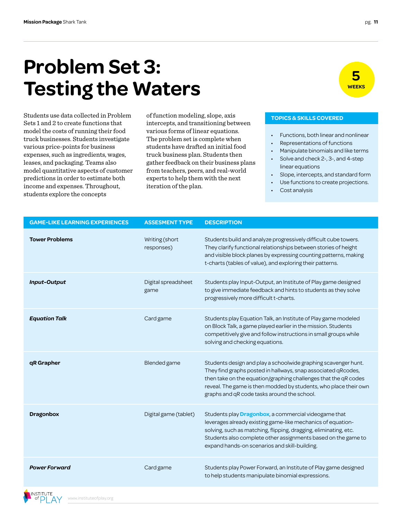### **Problem Set 3: Testing the Waters**

Sets 1 and 2 to create functions that model the costs of running their food truck businesses. Students investigate various price-points for business expenses, such as ingredients, wages, leases, and packaging. Teams also model quantitative aspects of customer predictions in order to estimate both income and expenses. Throughout, students explore the concepts

Students use data collected in Problem of function modeling, slope, axis **TOPICS & SKILLS COVERED** of function modeling, slope, axis intercepts, and transitioning between various forms of linear equations. The problem set is complete when students have drafted an initial food truck business plan. Students then gather feedback on their business plans from teachers, peers, and real-world experts to help them with the next iteration of the plan.

- Functions, both linear and nonlinear
- Representations of functions
- Manipulate binomials and like terms
- Solve and check 2-, 3-, and 4-step
- linear equations
- Slope, intercepts, and standard form Use functions to create projections.
- Cost analysis

| <b>GAME-LIKE LEARNING EXPERIENCES</b> | <b>ASSESMENT TYPE</b>        | <b>DESCRIPTION</b>                                                                                                                                                                                                                                                                                                    |
|---------------------------------------|------------------------------|-----------------------------------------------------------------------------------------------------------------------------------------------------------------------------------------------------------------------------------------------------------------------------------------------------------------------|
| <b>Tower Problems</b>                 | Writing (short<br>responses) | Students build and analyze progressively difficult cube towers.<br>They clarify functional relationships between stories of height<br>and visible block planes by expressing counting patterns, making<br>t-charts (tables of value), and exploring their patterns.                                                   |
| <b>Input-Output</b>                   | Digital spreadsheet<br>game  | Students play Input-Output, an Institute of Play game designed<br>to give immediate feedback and hints to students as they solve<br>progressively more difficult t-charts.                                                                                                                                            |
| <b>Equation Talk</b>                  | Card game                    | Students play Equation Talk, an Institute of Play game modeled<br>on Block Talk, a game played earlier in the mission. Students<br>competitively give and follow instructions in small groups while<br>solving and checking equations.                                                                                |
| qR Grapher                            | Blended game                 | Students design and play a schoolwide graphing scavenger hunt.<br>They find graphs posted in hallways, snap associated qRcodes,<br>then take on the equation/graphing challenges that the qR codes<br>reveal. The game is then modded by students, who place their own<br>graphs and qR code tasks around the school. |
| <b>Dragonbox</b>                      | Digital game (tablet)        | Students play <b>Dragonbox</b> , a commercial videogame that<br>leverages already existing game-like mechanics of equation-<br>solving, such as matching, flipping, dragging, eliminating, etc.<br>Students also complete other assignments based on the game to<br>expand hands-on scenarios and skill-building.     |
| <b>Power Forward</b>                  | Card game                    | Students play Power Forward, an Institute of Play game designed<br>to help students manipulate binomial expressions.                                                                                                                                                                                                  |



**5 WEEKS**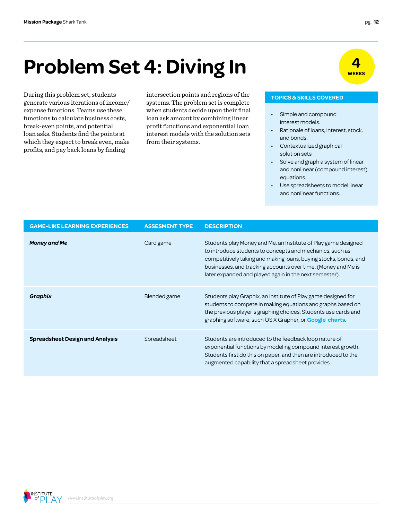# **Problem Set 4: Diving In WEEKS**

During this problem set, students intersection points and regions of the **TOPICS & SKILLS COVERED** generate various iterations of income/ expense functions. Teams use these functions to calculate business costs, break-even points, and potential loan asks. Students find the points at which they expect to break even, make profits, and pay back loans by finding

systems. The problem set is complete when students decide upon their final loan ask amount by combining linear profit functions and exponential loan interest models with the solution sets from their systems.

- Simple and compound interest models.
- Rationale of loans, interest, stock, and bonds.
- Contextualized graphical solution sets
- Solve and graph a system of linear and nonlinear (compound interest) equations.
- Use spreadsheets to model linear and nonlinear functions.

| <b>GAME-LIKE LEARNING EXPERIENCES</b>  | <b>ASSESMENT TYPE</b> | <b>DESCRIPTION</b>                                                                                                                                                                                                                                                                                                        |
|----------------------------------------|-----------------------|---------------------------------------------------------------------------------------------------------------------------------------------------------------------------------------------------------------------------------------------------------------------------------------------------------------------------|
| <b>Money and Me</b>                    | Card game             | Students play Money and Me, an Institute of Play game designed<br>to introduce students to concepts and mechanics, such as<br>competitively taking and making loans, buying stocks, bonds, and<br>businesses, and tracking accounts over time. (Money and Me is<br>later expanded and played again in the next semester). |
| Graphix                                | Blended game          | Students play Graphix, an Institute of Play game designed for<br>students to compete in making equations and graphs based on<br>the previous player's graphing choices. Students use cards and<br>graphing software, such OS X Grapher, or <b>Google charts</b> .                                                         |
| <b>Spreadsheet Design and Analysis</b> | Spreadsheet           | Students are introduced to the feedback loop nature of<br>exponential functions by modeling compound interest growth.<br>Students first do this on paper, and then are introduced to the<br>augmented capability that a spreadsheet provides.                                                                             |

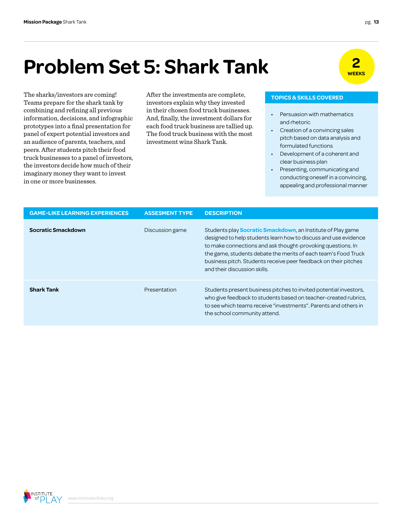### **2 Problem Set 5: Shark Tank Problem Set 5: Shark Tank**

The sharks/investors are coming!<br>
TOPICS & SKILLS COVERED Teams prepare for the shark tank by combining and refining all previous information, decisions, and infographic prototypes into a final presentation for panel of expert potential investors and an audience of parents, teachers, and peers. After students pitch their food truck businesses to a panel of investors, the investors decide how much of their imaginary money they want to invest in one or more businesses.

investors explain why they invested in their chosen food truck businesses. And, finally, the investment dollars for each food truck business are tallied up. The food truck business with the most investment wins Shark Tank.

- Persuasion with mathematics and rhetoric
- Creation of a convincing sales pitch based on data analysis and formulated functions
- Development of a coherent and clear business plan
- Presenting, communicating and conducting oneself in a convincing, appealing and professional manner

| <b>GAME-LIKE LEARNING EXPERIENCES</b> | <b>ASSESMENT TYPE</b> | <b>DESCRIPTION</b>                                                                                                                                                                                                                                                                                                                                                         |
|---------------------------------------|-----------------------|----------------------------------------------------------------------------------------------------------------------------------------------------------------------------------------------------------------------------------------------------------------------------------------------------------------------------------------------------------------------------|
| Socratic Smackdown                    | Discussion game       | Students play <b>Socratic Smackdown</b> , an Institute of Play game<br>designed to help students learn how to discuss and use evidence<br>to make connections and ask thought-provoking questions. In<br>the game, students debate the merits of each team's Food Truck<br>business pitch. Students receive peer feedback on their pitches<br>and their discussion skills. |
| <b>Shark Tank</b>                     | Presentation          | Students present business pitches to invited potential investors,<br>who give feedback to students based on teacher-created rubrics,<br>to see which teams receive "investments". Parents and others in<br>the school community attend.                                                                                                                                    |

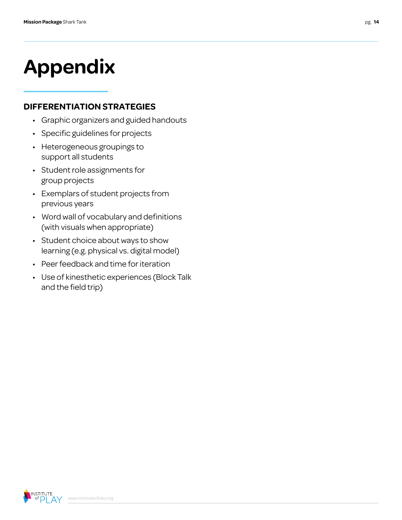# **Appendix**

### **DIFFERENTIATION STRATEGIES**

- Graphic organizers and guided handouts
- Specific guidelines for projects
- Heterogeneous groupings to support all students
- Student role assignments for group projects
- Exemplars of student projects from previous years
- Word wall of vocabulary and definitions (with visuals when appropriate)
- Student choice about ways to show learning (e.g. physical vs. digital model)
- Peer feedback and time for iteration
- Use of kinesthetic experiences (Block Talk and the field trip)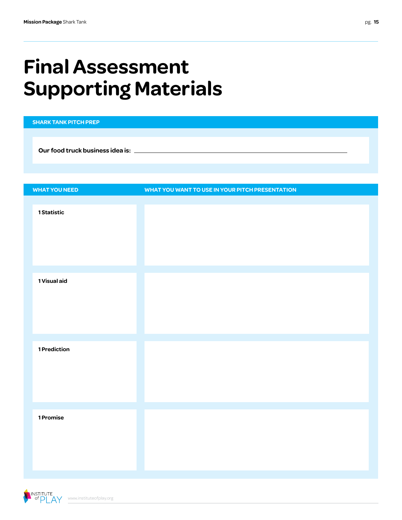## **Final Assessment Supporting Materials**

| <b>SHARK TANK PITCH PREP</b> |                                                 |
|------------------------------|-------------------------------------------------|
|                              |                                                 |
|                              |                                                 |
|                              |                                                 |
|                              |                                                 |
| <b>WHAT YOU NEED</b>         | WHAT YOU WANT TO USE IN YOUR PITCH PRESENTATION |
|                              |                                                 |
| 1 Statistic                  |                                                 |
|                              |                                                 |
|                              |                                                 |
|                              |                                                 |
|                              |                                                 |
| 1 Visual aid                 |                                                 |
|                              |                                                 |
|                              |                                                 |
|                              |                                                 |
|                              |                                                 |
|                              |                                                 |
| 1 Prediction                 |                                                 |
|                              |                                                 |
|                              |                                                 |
|                              |                                                 |
|                              |                                                 |
| 1 Promise                    |                                                 |
|                              |                                                 |
|                              |                                                 |
|                              |                                                 |
|                              |                                                 |

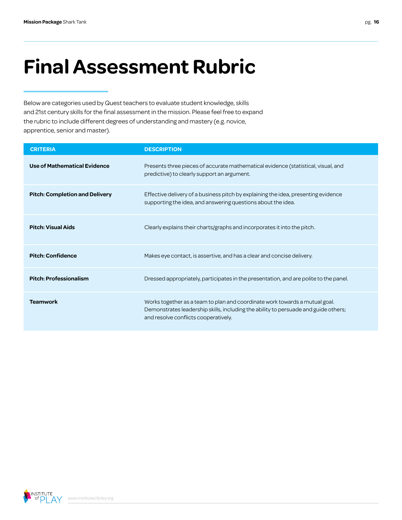## **Final Assessment Rubric**

Below are categories used by Quest teachers to evaluate student knowledge, skills and 21st century skills for the final assessment in the mission. Please feel free to expand the rubric to include different degrees of understanding and mastery (e.g. novice, apprentice, senior and master).

| <b>CRITERIA</b>                       | <b>DESCRIPTION</b>                                                                                                                                                                                         |
|---------------------------------------|------------------------------------------------------------------------------------------------------------------------------------------------------------------------------------------------------------|
| Use of Mathematical Evidence          | Presents three pieces of accurate mathematical evidence (statistical, visual, and<br>predictive) to clearly support an argument.                                                                           |
| <b>Pitch: Completion and Delivery</b> | Effective delivery of a business pitch by explaining the idea, presenting evidence<br>supporting the idea, and answering questions about the idea.                                                         |
| <b>Pitch: Visual Aids</b>             | Clearly explains their charts/graphs and incorporates it into the pitch.                                                                                                                                   |
| <b>Pitch: Confidence</b>              | Makes eye contact, is assertive, and has a clear and concise delivery.                                                                                                                                     |
| <b>Pitch: Professionalism</b>         | Dressed appropriately, participates in the presentation, and are polite to the panel.                                                                                                                      |
| <b>Teamwork</b>                       | Works together as a team to plan and coordinate work towards a mutual goal.<br>Demonstrates leadership skills, including the ability to persuade and guide others;<br>and resolve conflicts cooperatively. |

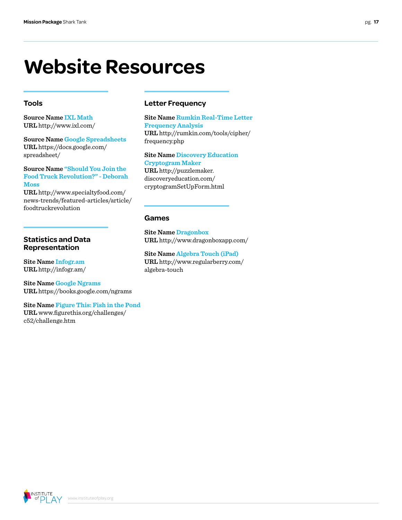### **Website Resources**

#### **Tools**

**Source Name [IXL Math](http://www.ixl.com/) URL** http://www.ixl.com/

**Source Name [Google Spreadsheets](https://docs.google.com/spreadsheet/) URL** https://docs.google.com/ spreadsheet/

#### **Source Name ["Should You Join the](http://www.specialtyfood.com/news-trends/featured-articles/article/foodtruckrevolution)  [Food Truck Revolution?" - Deborah](http://www.specialtyfood.com/news-trends/featured-articles/article/foodtruckrevolution)  [Moss](http://www.specialtyfood.com/news-trends/featured-articles/article/foodtruckrevolution)**

**URL** http://www.specialtyfood.com/ news-trends/featured-articles/article/ foodtruckrevolution

#### **Statistics and Data Representation**

**Site Name [Infogr.am](http://infogr.am/) URL** http://infogr.am/

**Site Name [Google Ngrams](https://books.google.com/ngrams) URL** https://books.google.com/ngrams

#### **Site Name [Figure This: Fish in the Pond](http://www.figurethis.org/challenges/c52/challenge.htm) URL** www.figurethis.org/challenges/ c52/challenge.htm

#### **Letter Frequency**

**Site Name [Rumkin Real-Time Letter](http://rumkin.com/tools/cipher/frequency.php)  [Frequency Analysis](http://rumkin.com/tools/cipher/frequency.php) URL** http://rumkin.com/tools/cipher/ frequency.php

#### **Site Name [Discovery Education](http://puzzlemaker.discoveryeducation.com/cryptogramSetUpForm.html)  [Cryptogram Maker](http://puzzlemaker.discoveryeducation.com/cryptogramSetUpForm.html)**

**URL** http://puzzlemaker. discoveryeducation.com/ cryptogramSetUpForm.html

#### **Games**

**Site Name [Dragonbox](http://www.dragonboxapp.com/) URL** http://www.dragonboxapp.com/

**Site Name [Algebra Touch \(iPad\)](http://www.regularberry.com/ algebra-touch) URL** http://www.regularberry.com/ algebra-touch

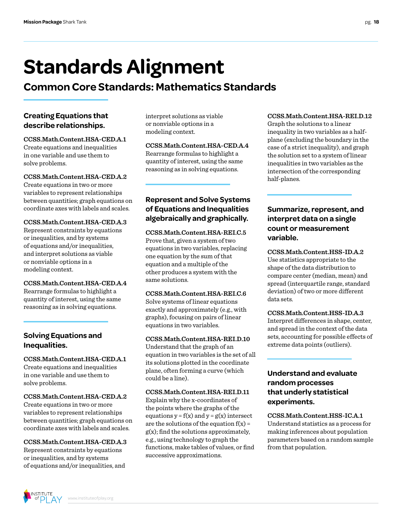## **Standards Alignment**

### **Common Core Standards: Mathematics Standards**

#### **Creating Equations that describe relationships.**

**CCSS.Math.Content.HSA-CED.A.1**  Create equations and inequalities in one variable and use them to solve problems.

**CCSS.Math.Content.HSA-CED.A.2**  Create equations in two or more variables to represent relationships between quantities; graph equations on coordinate axes with labels and scales.

#### **CCSS.Math.Content.HSA-CED.A.3**

Represent constraints by equations or inequalities, and by systems of equations and/or inequalities, and interpret solutions as viable or nonviable options in a modeling context.

**CCSS.Math.Content.HSA-CED.A.4** Rearrange formulas to highlight a quantity of interest, using the same reasoning as in solving equations.

#### **Solving Equations and Inequalities.**

**CCSS.Math.Content.HSA-CED.A.1**  Create equations and inequalities in one variable and use them to solve problems.

#### **CCSS.Math.Content.HSA-CED.A.2**

Create equations in two or more variables to represent relationships between quantities; graph equations on coordinate axes with labels and scales.

#### **CCSS.Math.Content.HSA-CED.A.3**

Represent constraints by equations or inequalities, and by systems of equations and/or inequalities, and

interpret solutions as viable or nonviable options in a modeling context.

#### **CCSS.Math.Content.HSA-CED.A.4** Rearrange formulas to highlight a quantity of interest, using the same reasoning as in solving equations.

#### **Represent and Solve Systems of Equations and Inequalities algebraically and graphically.**

**CCSS.Math.Content.HSA-REI.C.5**  Prove that, given a system of two equations in two variables, replacing one equation by the sum of that equation and a multiple of the other produces a system with the same solutions.

#### **CCSS.Math.Content.HSA-REI.C.6**  Solve systems of linear equations

exactly and approximately (e.g., with graphs), focusing on pairs of linear equations in two variables.

**CCSS.Math.Content.HSA-REI.D.10** Understand that the graph of an equation in two variables is the set of all its solutions plotted in the coordinate plane, often forming a curve (which could be a line).

#### **CCSS.Math.Content.HSA-REI.D.11**

Explain why the x-coordinates of the points where the graphs of the equations  $y = f(x)$  and  $y = g(x)$  intersect are the solutions of the equation  $f(x) =$  $g(x)$ ; find the solutions approximately, e.g., using technology to graph the functions, make tables of values, or find successive approximations.

#### **CCSS.Math.Content.HSA-REI.D.12**

Graph the solutions to a linear inequality in two variables as a halfplane (excluding the boundary in the case of a strict inequality), and graph the solution set to a system of linear inequalities in two variables as the intersection of the corresponding half-planes.

#### **Summarize, represent, and interpret data on a single count or measurement variable.**

**CCSS.Math.Content.HSS-ID.A.2**  Use statistics appropriate to the shape of the data distribution to compare center (median, mean) and spread (interquartile range, standard deviation) of two or more different data sets.

#### **CCSS.Math.Content.HSS-ID.A.3**

Interpret differences in shape, center, and spread in the context of the data sets, accounting for possible effects of extreme data points (outliers).

#### **Understand and evaluate random processes that underly statistical experiments.**

**CCSS.Math.Content.HSS-IC.A.1**  Understand statistics as a process for making inferences about population parameters based on a random sample from that population.

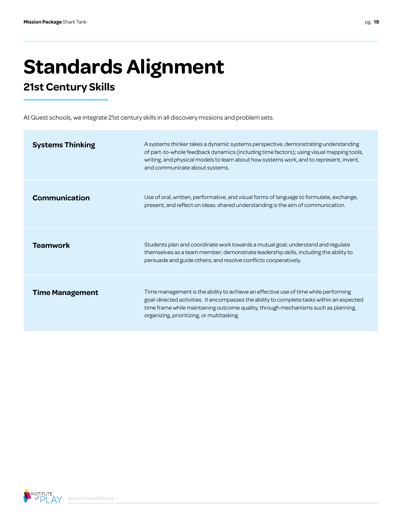# **Standards Alignment**

### **21st Century Skills**

At Quest schools, we integrate 21st century skills in all discovery missions and problem sets.

| <b>Systems Thinking</b> | A systems thinker takes a dynamic systems perspective, demonstrating understanding<br>of part-to-whole feedback dynamics (including time factors); using visual mapping tools,<br>writing, and physical models to learn about how systems work, and to represent, invent,<br>and communicate about systems.          |
|-------------------------|----------------------------------------------------------------------------------------------------------------------------------------------------------------------------------------------------------------------------------------------------------------------------------------------------------------------|
| Communication           | Use of oral, written, performative, and visual forms of language to formulate, exchange,<br>present, and reflect on ideas: shared understanding is the aim of communication.                                                                                                                                         |
| <b>Teamwork</b>         | Students plan and coordinate work towards a mutual goal; understand and regulate<br>themselves as a team member; demonstrate leadership skills, including the ability to<br>persuade and guide others; and resolve conflicts cooperatively.                                                                          |
| <b>Time Management</b>  | Time management is the ability to achieve an effective use of time while performing<br>goal-directed activities. It encompasses the ability to complete tasks within an expected<br>time frame while maintaining outcome quality, through mechanisms such as planning,<br>organizing, prioritizing, or multitasking. |

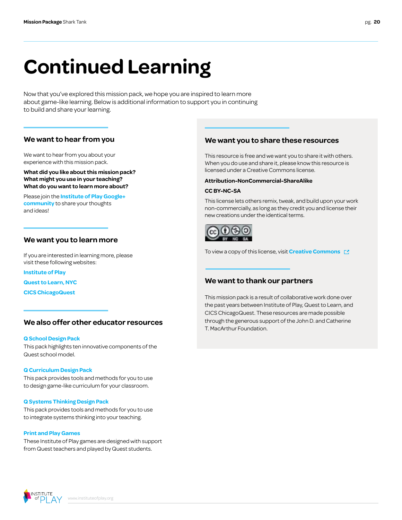# **Continued Learning**

Now that you've explored this mission pack, we hope you are inspired to learn more about game-like learning. Below is additional information to support you in continuing to build and share your learning.

#### **We want to hear from you**

We want to hear from you about your experience with this mission pack.

**What did you like about this mission pack? What might you use in your teaching? What do you want to learn more about?**

Please join the **[Institute of Play Google+](https://plus.google.com/109931113406134913780)  [community](https://plus.google.com/109931113406134913780)** to share your thoughts and ideas!

#### **We want you to learn more**

If you are interested in learning more, please visit these following websites:

**[Institute of Play](http://www.instituteofplay.org)**

**[Quest to Learn, NYC](http://www.q2l.org)**

**[CICS ChicagoQuest](http://www.chicagoquest.org)**

#### **We also offer other educator resources**

#### **[Q School Design Pack](http://www.instituteofplay.org/work/projects/q-design-packs/q-school-design-pack/)**

[This pack highlights ten innovative components of the](http://www.instituteofplay.org/work/projects/q-design-packs/q-school-design-pack/)  [Quest school model.](http://www.instituteofplay.org/work/projects/q-design-packs/q-school-design-pack/)

#### **[Q Curriculum Design Pack](http://www.instituteofplay.org/work/projects/q-design-packs/q-curriculum-design-pack/)**

[This pack provides tools and methods for you to use](http://www.instituteofplay.org/work/projects/q-design-packs/q-curriculum-design-pack/)  [to design game-like curriculum for your classroom.](http://www.instituteofplay.org/work/projects/q-design-packs/q-curriculum-design-pack/)

#### **[Q Systems Thinking Design Pack](http://www.instituteofplay.org/work/projects/q-design-packs/q-systems-thinking-design-pack/)**

[This pack provides tools and methods for you to use](http://www.instituteofplay.org/work/projects/q-design-packs/q-systems-thinking-design-pack/)  [to integrate systems thinking into your teaching.](http://www.instituteofplay.org/work/projects/q-design-packs/q-systems-thinking-design-pack/)

#### **[Print and Play Games](http://www.instituteofplay.org/work/projects/print-and-play-games)**

[These Institute of Play games are designed with support](http://www.instituteofplay.org/work/projects/print-and-play-games)  [from Quest teachers and played by Quest students.](http://www.instituteofplay.org/work/projects/print-and-play-games)

#### **We want you to share these resources**

This resource is free and we want you to share it with others. When you do use and share it, please know this resource is licensed under a Creative Commons license.

#### **Attribution-NonCommercial-ShareAlike**

#### **CC BY-NC-SA**

This license lets others remix, tweak, and build upon your work non-commercially, as long as they credit you and license their new creations under the identical terms.



To view a copy of this license, visit **[Creative Commons](http://creativecommons.org/licenses/by-nc-sa/3.0/us/)** 

#### **We want to thank our partners**

This mission pack is a result of collaborative work done over the past years between Institute of Play, Quest to Learn, and CICS ChicagoQuest. These resources are made possible through the generous support of the John D. and Catherine T. MacArthur Foundation.